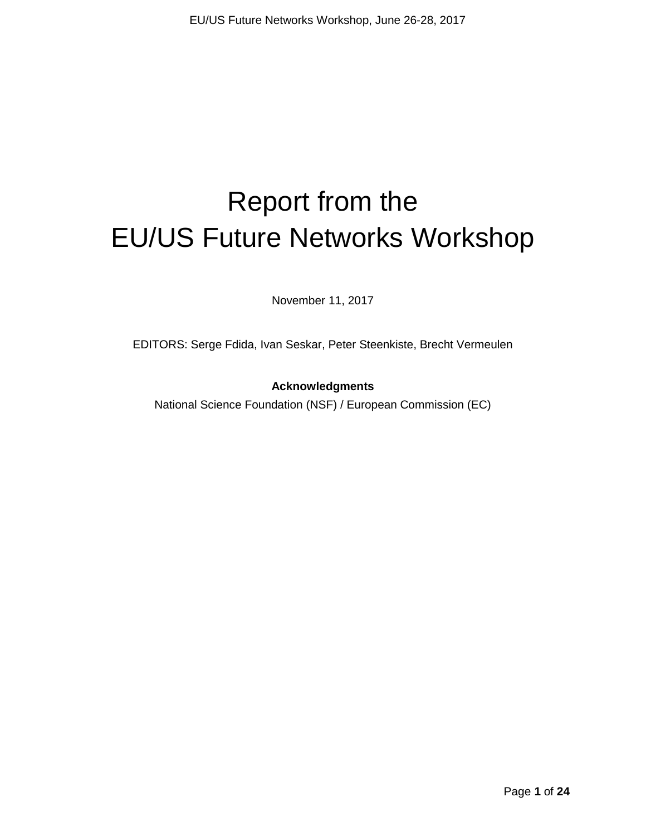# Report from the EU/US Future Networks Workshop

November 11, 2017

EDITORS: Serge Fdida, Ivan Seskar, Peter Steenkiste, Brecht Vermeulen

#### **Acknowledgments**

National Science Foundation (NSF) / European Commission (EC)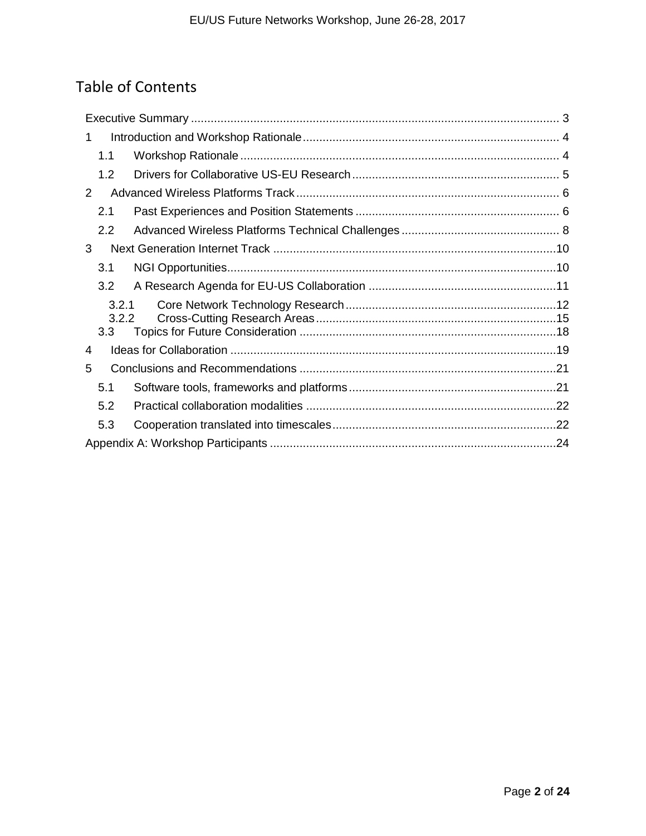# Table of Contents

| 1.1              |  |
|------------------|--|
| 1.2              |  |
| 2                |  |
| 2.1              |  |
| $2.2\phantom{0}$ |  |
| 3                |  |
| 3.1              |  |
| 3.2              |  |
| 3.2.1<br>3.2.2   |  |
| 3.3              |  |
| 4                |  |
| 5                |  |
| 5.1              |  |
| 5.2              |  |
| 5.3              |  |
|                  |  |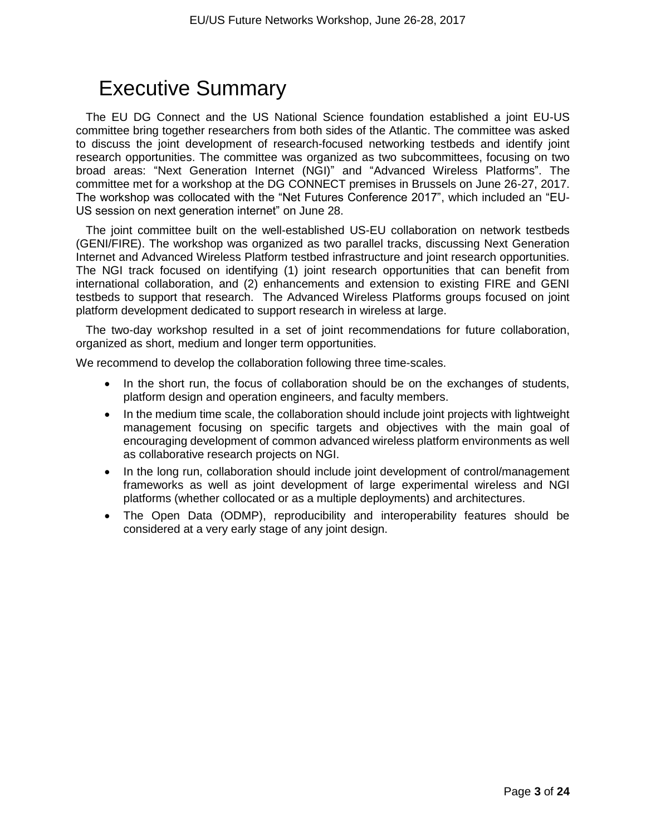# Executive Summary

The EU DG Connect and the US National Science foundation established a joint EU-US committee bring together researchers from both sides of the Atlantic. The committee was asked to discuss the joint development of research-focused networking testbeds and identify joint research opportunities. The committee was organized as two subcommittees, focusing on two broad areas: "Next Generation Internet (NGI)" and "Advanced Wireless Platforms". The committee met for a workshop at the DG CONNECT premises in Brussels on June 26-27, 2017. The workshop was collocated with the "Net Futures Conference 2017", which included an "EU-US session on next generation internet" on June 28.

The joint committee built on the well-established US-EU collaboration on network testbeds (GENI/FIRE). The workshop was organized as two parallel tracks, discussing Next Generation Internet and Advanced Wireless Platform testbed infrastructure and joint research opportunities. The NGI track focused on identifying (1) joint research opportunities that can benefit from international collaboration, and (2) enhancements and extension to existing FIRE and GENI testbeds to support that research. The Advanced Wireless Platforms groups focused on joint platform development dedicated to support research in wireless at large.

The two-day workshop resulted in a set of joint recommendations for future collaboration, organized as short, medium and longer term opportunities.

We recommend to develop the collaboration following three time-scales.

- In the short run, the focus of collaboration should be on the exchanges of students, platform design and operation engineers, and faculty members.
- In the medium time scale, the collaboration should include joint projects with lightweight management focusing on specific targets and objectives with the main goal of encouraging development of common advanced wireless platform environments as well as collaborative research projects on NGI.
- In the long run, collaboration should include joint development of control/management frameworks as well as joint development of large experimental wireless and NGI platforms (whether collocated or as a multiple deployments) and architectures.
- The Open Data (ODMP), reproducibility and interoperability features should be considered at a very early stage of any joint design.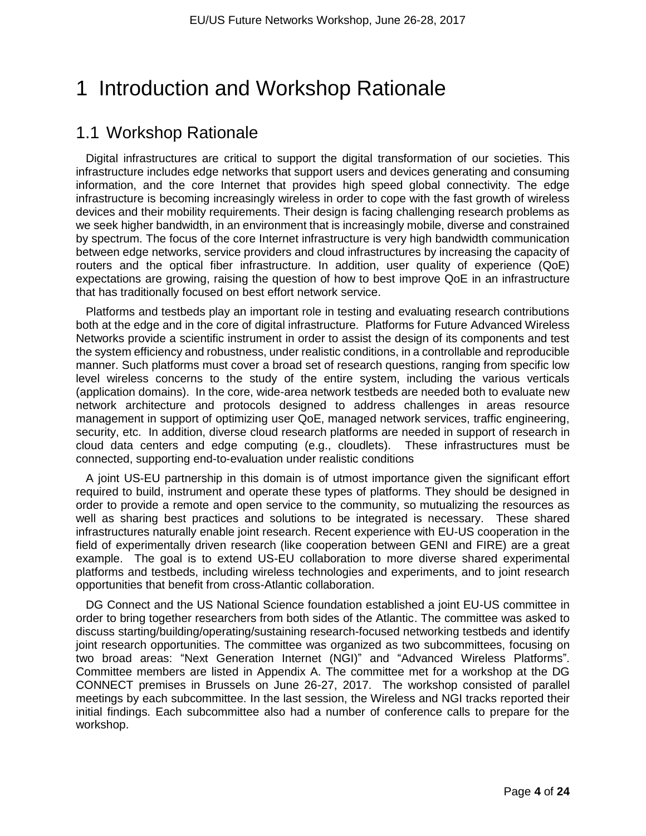# 1 Introduction and Workshop Rationale

### 1.1 Workshop Rationale

Digital infrastructures are critical to support the digital transformation of our societies. This infrastructure includes edge networks that support users and devices generating and consuming information, and the core Internet that provides high speed global connectivity. The edge infrastructure is becoming increasingly wireless in order to cope with the fast growth of wireless devices and their mobility requirements. Their design is facing challenging research problems as we seek higher bandwidth, in an environment that is increasingly mobile, diverse and constrained by spectrum. The focus of the core Internet infrastructure is very high bandwidth communication between edge networks, service providers and cloud infrastructures by increasing the capacity of routers and the optical fiber infrastructure. In addition, user quality of experience (QoE) expectations are growing, raising the question of how to best improve QoE in an infrastructure that has traditionally focused on best effort network service.

Platforms and testbeds play an important role in testing and evaluating research contributions both at the edge and in the core of digital infrastructure. Platforms for Future Advanced Wireless Networks provide a scientific instrument in order to assist the design of its components and test the system efficiency and robustness, under realistic conditions, in a controllable and reproducible manner. Such platforms must cover a broad set of research questions, ranging from specific low level wireless concerns to the study of the entire system, including the various verticals (application domains). In the core, wide-area network testbeds are needed both to evaluate new network architecture and protocols designed to address challenges in areas resource management in support of optimizing user QoE, managed network services, traffic engineering, security, etc. In addition, diverse cloud research platforms are needed in support of research in cloud data centers and edge computing (e.g., cloudlets). These infrastructures must be connected, supporting end-to-evaluation under realistic conditions

A joint US-EU partnership in this domain is of utmost importance given the significant effort required to build, instrument and operate these types of platforms. They should be designed in order to provide a remote and open service to the community, so mutualizing the resources as well as sharing best practices and solutions to be integrated is necessary. These shared infrastructures naturally enable joint research. Recent experience with EU-US cooperation in the field of experimentally driven research (like cooperation between GENI and FIRE) are a great example. The goal is to extend US-EU collaboration to more diverse shared experimental platforms and testbeds, including wireless technologies and experiments, and to joint research opportunities that benefit from cross-Atlantic collaboration.

DG Connect and the US National Science foundation established a joint EU-US committee in order to bring together researchers from both sides of the Atlantic. The committee was asked to discuss starting/building/operating/sustaining research-focused networking testbeds and identify joint research opportunities. The committee was organized as two subcommittees, focusing on two broad areas: "Next Generation Internet (NGI)" and "Advanced Wireless Platforms". Committee members are listed in Appendix A. The committee met for a workshop at the DG CONNECT premises in Brussels on June 26-27, 2017. The workshop consisted of parallel meetings by each subcommittee. In the last session, the Wireless and NGI tracks reported their initial findings. Each subcommittee also had a number of conference calls to prepare for the workshop.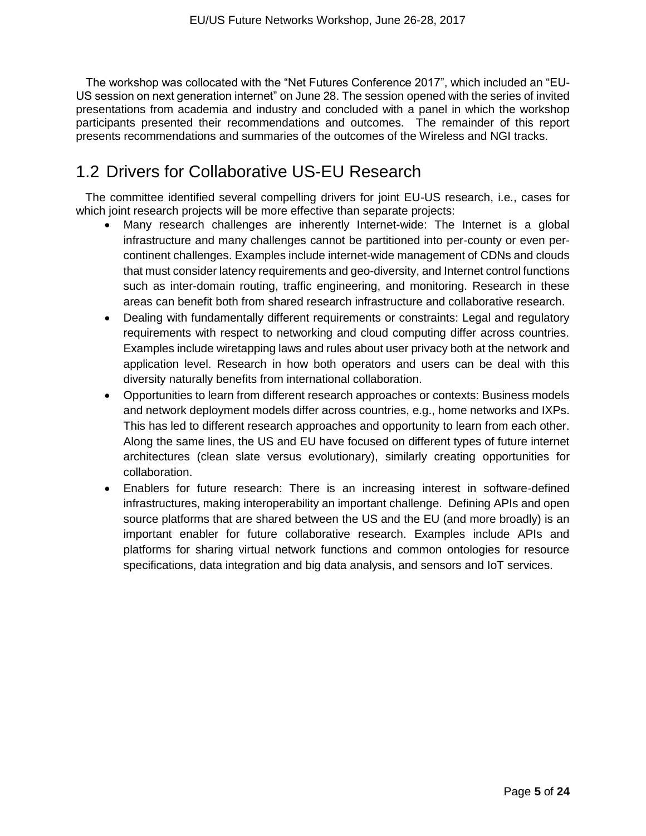The workshop was collocated with the "Net Futures Conference 2017", which included an "EU-US session on next generation internet" on June 28. The session opened with the series of invited presentations from academia and industry and concluded with a panel in which the workshop participants presented their recommendations and outcomes. The remainder of this report presents recommendations and summaries of the outcomes of the Wireless and NGI tracks.

### 1.2 Drivers for Collaborative US-EU Research

The committee identified several compelling drivers for joint EU-US research, i.e., cases for which joint research projects will be more effective than separate projects:

- Many research challenges are inherently Internet-wide: The Internet is a global infrastructure and many challenges cannot be partitioned into per-county or even percontinent challenges. Examples include internet-wide management of CDNs and clouds that must consider latency requirements and geo-diversity, and Internet control functions such as inter-domain routing, traffic engineering, and monitoring. Research in these areas can benefit both from shared research infrastructure and collaborative research.
- Dealing with fundamentally different requirements or constraints: Legal and regulatory requirements with respect to networking and cloud computing differ across countries. Examples include wiretapping laws and rules about user privacy both at the network and application level. Research in how both operators and users can be deal with this diversity naturally benefits from international collaboration.
- Opportunities to learn from different research approaches or contexts: Business models and network deployment models differ across countries, e.g., home networks and IXPs. This has led to different research approaches and opportunity to learn from each other. Along the same lines, the US and EU have focused on different types of future internet architectures (clean slate versus evolutionary), similarly creating opportunities for collaboration.
- Enablers for future research: There is an increasing interest in software-defined infrastructures, making interoperability an important challenge. Defining APIs and open source platforms that are shared between the US and the EU (and more broadly) is an important enabler for future collaborative research. Examples include APIs and platforms for sharing virtual network functions and common ontologies for resource specifications, data integration and big data analysis, and sensors and IoT services.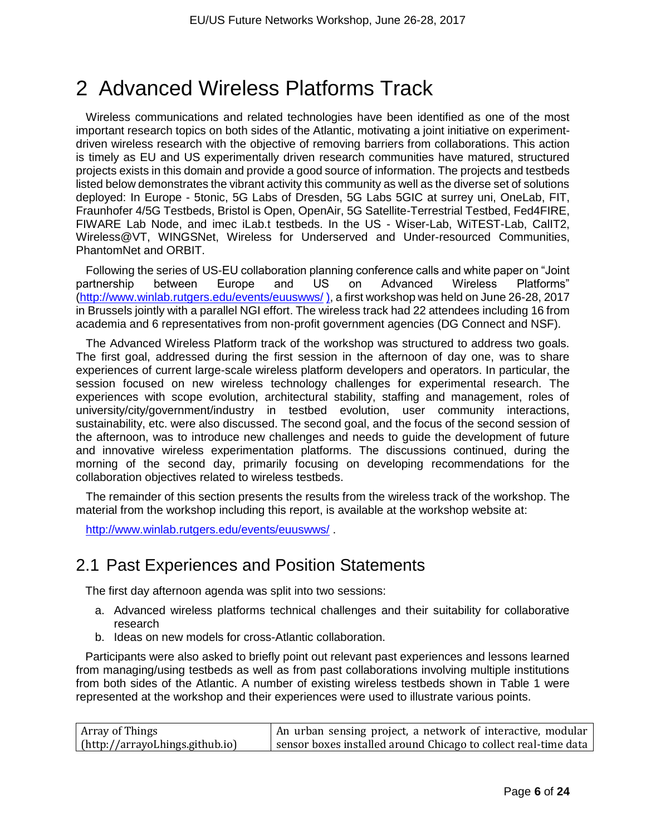# 2 Advanced Wireless Platforms Track

Wireless communications and related technologies have been identified as one of the most important research topics on both sides of the Atlantic, motivating a joint initiative on experimentdriven wireless research with the objective of removing barriers from collaborations. This action is timely as EU and US experimentally driven research communities have matured, structured projects exists in this domain and provide a good source of information. The projects and testbeds listed below demonstrates the vibrant activity this community as well as the diverse set of solutions deployed: In Europe - 5tonic, 5G Labs of Dresden, 5G Labs 5GIC at surrey uni, OneLab, FIT, Fraunhofer 4/5G Testbeds, Bristol is Open, OpenAir, 5G Satellite-Terrestrial Testbed, Fed4FIRE, FIWARE Lab Node, and imec iLab.t testbeds. In the US - Wiser-Lab, WiTEST-Lab, CalIT2, Wireless@VT, WINGSNet, Wireless for Underserved and Under-resourced Communities, PhantomNet and ORBIT.

Following the series of US-EU collaboration planning conference calls and white paper on "Joint partnership between Europe and US on Advanced Wireless Platforms" [\(http://www.winlab.rutgers.edu/events/euuswws/](http://www.winlab.rutgers.edu/events/euuswws/) ), a first workshop was held on June 26-28, 2017 in Brussels jointly with a parallel NGI effort. The wireless track had 22 attendees including 16 from academia and 6 representatives from non-profit government agencies (DG Connect and NSF).

The Advanced Wireless Platform track of the workshop was structured to address two goals. The first goal, addressed during the first session in the afternoon of day one, was to share experiences of current large-scale wireless platform developers and operators. In particular, the session focused on new wireless technology challenges for experimental research. The experiences with scope evolution, architectural stability, staffing and management, roles of university/city/government/industry in testbed evolution, user community interactions, sustainability, etc. were also discussed. The second goal, and the focus of the second session of the afternoon, was to introduce new challenges and needs to guide the development of future and innovative wireless experimentation platforms. The discussions continued, during the morning of the second day, primarily focusing on developing recommendations for the collaboration objectives related to wireless testbeds.

The remainder of this section presents the results from the wireless track of the workshop. The material from the workshop including this report, is available at the workshop website at:

<http://www.winlab.rutgers.edu/events/euuswws/> .

### 2.1 Past Experiences and Position Statements

The first day afternoon agenda was split into two sessions:

- a. Advanced wireless platforms technical challenges and their suitability for collaborative research
- b. Ideas on new models for cross-Atlantic collaboration.

Participants were also asked to briefly point out relevant past experiences and lessons learned from managing/using testbeds as well as from past collaborations involving multiple institutions from both sides of the Atlantic. A number of existing wireless testbeds shown in Table 1 were represented at the workshop and their experiences were used to illustrate various points.

| Array of Things                 | An urban sensing project, a network of interactive, modular     |
|---------------------------------|-----------------------------------------------------------------|
| (http://arrayoLhings.github.io) | sensor boxes installed around Chicago to collect real-time data |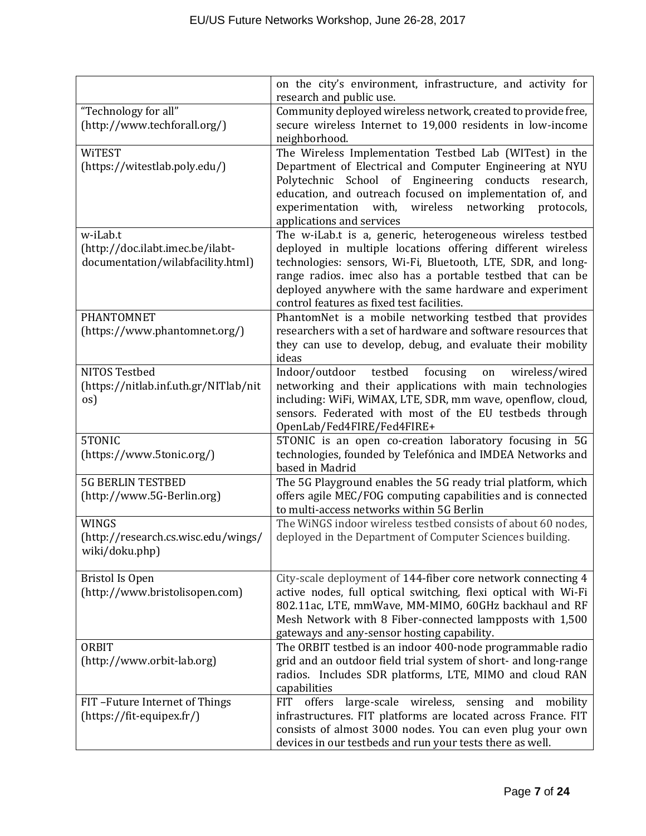|                                       | on the city's environment, infrastructure, and activity for                                                                   |  |  |
|---------------------------------------|-------------------------------------------------------------------------------------------------------------------------------|--|--|
|                                       | research and public use.                                                                                                      |  |  |
| "Technology for all"                  | Community deployed wireless network, created to provide free,                                                                 |  |  |
| (http://www.techforall.org/)          | secure wireless Internet to 19,000 residents in low-income                                                                    |  |  |
|                                       | neighborhood.                                                                                                                 |  |  |
| <b>WITEST</b>                         | The Wireless Implementation Testbed Lab (WITest) in the                                                                       |  |  |
| (https://witestlab.poly.edu/)         | Department of Electrical and Computer Engineering at NYU                                                                      |  |  |
|                                       | Polytechnic School of Engineering conducts research,                                                                          |  |  |
|                                       | education, and outreach focused on implementation of, and                                                                     |  |  |
|                                       | with,<br>wireless<br>networking<br>experimentation<br>protocols,                                                              |  |  |
|                                       | applications and services                                                                                                     |  |  |
| w-iLab.t                              | The w-iLab.t is a, generic, heterogeneous wireless testbed                                                                    |  |  |
| (http://doc.ilabt.imec.be/ilabt-      | deployed in multiple locations offering different wireless                                                                    |  |  |
| documentation/wilabfacility.html)     | technologies: sensors, Wi-Fi, Bluetooth, LTE, SDR, and long-                                                                  |  |  |
|                                       | range radios. imec also has a portable testbed that can be                                                                    |  |  |
|                                       | deployed anywhere with the same hardware and experiment                                                                       |  |  |
|                                       | control features as fixed test facilities.                                                                                    |  |  |
| PHANTOMNET                            | PhantomNet is a mobile networking testbed that provides                                                                       |  |  |
| (https://www.phantomnet.org/)         | researchers with a set of hardware and software resources that                                                                |  |  |
|                                       | they can use to develop, debug, and evaluate their mobility                                                                   |  |  |
|                                       | ideas                                                                                                                         |  |  |
| NITOS Testbed                         | testbed<br>focusing<br>Indoor/outdoor<br>wireless/wired<br>on                                                                 |  |  |
| (https://nitlab.inf.uth.gr/NITlab/nit | networking and their applications with main technologies                                                                      |  |  |
| os)                                   | including: WiFi, WiMAX, LTE, SDR, mm wave, openflow, cloud,                                                                   |  |  |
|                                       | sensors. Federated with most of the EU testbeds through                                                                       |  |  |
|                                       | OpenLab/Fed4FIRE/Fed4FIRE+                                                                                                    |  |  |
| 5TONIC                                | 5TONIC is an open co-creation laboratory focusing in 5G                                                                       |  |  |
| (https://www.5tonic.org/)             | technologies, founded by Telefónica and IMDEA Networks and                                                                    |  |  |
|                                       | based in Madrid                                                                                                               |  |  |
| <b>5G BERLIN TESTBED</b>              | The 5G Playground enables the 5G ready trial platform, which                                                                  |  |  |
| (http://www.5G-Berlin.org)            | offers agile MEC/FOG computing capabilities and is connected                                                                  |  |  |
|                                       | to multi-access networks within 5G Berlin                                                                                     |  |  |
| <b>WINGS</b>                          | The WiNGS indoor wireless testbed consists of about 60 nodes,                                                                 |  |  |
| (http://research.cs.wisc.edu/wings/   | deployed in the Department of Computer Sciences building.                                                                     |  |  |
| wiki/doku.php)                        |                                                                                                                               |  |  |
|                                       |                                                                                                                               |  |  |
| <b>Bristol Is Open</b>                | City-scale deployment of 144-fiber core network connecting 4                                                                  |  |  |
| (http://www.bristolisopen.com)        | active nodes, full optical switching, flexi optical with Wi-Fi                                                                |  |  |
|                                       | 802.11ac, LTE, mmWave, MM-MIMO, 60GHz backhaul and RF                                                                         |  |  |
|                                       | Mesh Network with 8 Fiber-connected lampposts with 1,500                                                                      |  |  |
|                                       | gateways and any-sensor hosting capability.                                                                                   |  |  |
| ORBIT<br>(http://www.orbit-lab.org)   | The ORBIT testbed is an indoor 400-node programmable radio<br>grid and an outdoor field trial system of short- and long-range |  |  |
|                                       | radios. Includes SDR platforms, LTE, MIMO and cloud RAN                                                                       |  |  |
|                                       | capabilities                                                                                                                  |  |  |
| FIT-Future Internet of Things         | large-scale wireless, sensing<br><b>FIT</b><br>offers<br>and<br>mobility                                                      |  |  |
| (https://fit-equipex.fr/)             | infrastructures. FIT platforms are located across France. FIT                                                                 |  |  |
|                                       | consists of almost 3000 nodes. You can even plug your own                                                                     |  |  |
|                                       | devices in our testbeds and run your tests there as well.                                                                     |  |  |
|                                       |                                                                                                                               |  |  |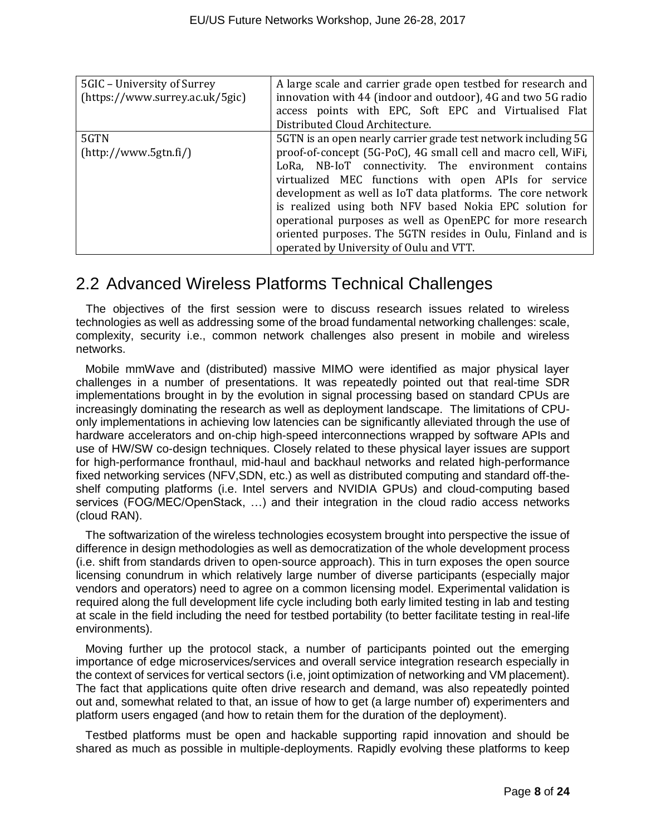| 5GIC - University of Surrey                             | A large scale and carrier grade open testbed for research and  |  |  |
|---------------------------------------------------------|----------------------------------------------------------------|--|--|
| (https://www.surrey.ac.uk/5gic)                         | innovation with 44 (indoor and outdoor), 4G and two 5G radio   |  |  |
|                                                         | access points with EPC, Soft EPC and Virtualised Flat          |  |  |
|                                                         | Distributed Cloud Architecture.                                |  |  |
| 5GTN                                                    | 5GTN is an open nearly carrier grade test network including 5G |  |  |
| (htp://www.5gtn.fi/)                                    | proof-of-concept (5G-PoC), 4G small cell and macro cell, WiFi, |  |  |
|                                                         | LoRa, NB-IoT connectivity. The environment contains            |  |  |
|                                                         | virtualized MEC functions with open APIs for service           |  |  |
|                                                         | development as well as IoT data platforms. The core network    |  |  |
| is realized using both NFV based Nokia EPC solution for |                                                                |  |  |
|                                                         | operational purposes as well as OpenEPC for more research      |  |  |
|                                                         | oriented purposes. The 5GTN resides in Oulu, Finland and is    |  |  |
|                                                         | operated by University of Oulu and VTT.                        |  |  |

### 2.2 Advanced Wireless Platforms Technical Challenges

The objectives of the first session were to discuss research issues related to wireless technologies as well as addressing some of the broad fundamental networking challenges: scale, complexity, security i.e., common network challenges also present in mobile and wireless networks.

Mobile mmWave and (distributed) massive MIMO were identified as major physical layer challenges in a number of presentations. It was repeatedly pointed out that real-time SDR implementations brought in by the evolution in signal processing based on standard CPUs are increasingly dominating the research as well as deployment landscape. The limitations of CPUonly implementations in achieving low latencies can be significantly alleviated through the use of hardware accelerators and on-chip high-speed interconnections wrapped by software APIs and use of HW/SW co-design techniques. Closely related to these physical layer issues are support for high-performance fronthaul, mid-haul and backhaul networks and related high-performance fixed networking services (NFV,SDN, etc.) as well as distributed computing and standard off-theshelf computing platforms (i.e. Intel servers and NVIDIA GPUs) and cloud-computing based services (FOG/MEC/OpenStack, …) and their integration in the cloud radio access networks (cloud RAN).

The softwarization of the wireless technologies ecosystem brought into perspective the issue of difference in design methodologies as well as democratization of the whole development process (i.e. shift from standards driven to open-source approach). This in turn exposes the open source licensing conundrum in which relatively large number of diverse participants (especially major vendors and operators) need to agree on a common licensing model. Experimental validation is required along the full development life cycle including both early limited testing in lab and testing at scale in the field including the need for testbed portability (to better facilitate testing in real-life environments).

Moving further up the protocol stack, a number of participants pointed out the emerging importance of edge microservices/services and overall service integration research especially in the context of services for vertical sectors (i.e, joint optimization of networking and VM placement). The fact that applications quite often drive research and demand, was also repeatedly pointed out and, somewhat related to that, an issue of how to get (a large number of) experimenters and platform users engaged (and how to retain them for the duration of the deployment).

Testbed platforms must be open and hackable supporting rapid innovation and should be shared as much as possible in multiple-deployments. Rapidly evolving these platforms to keep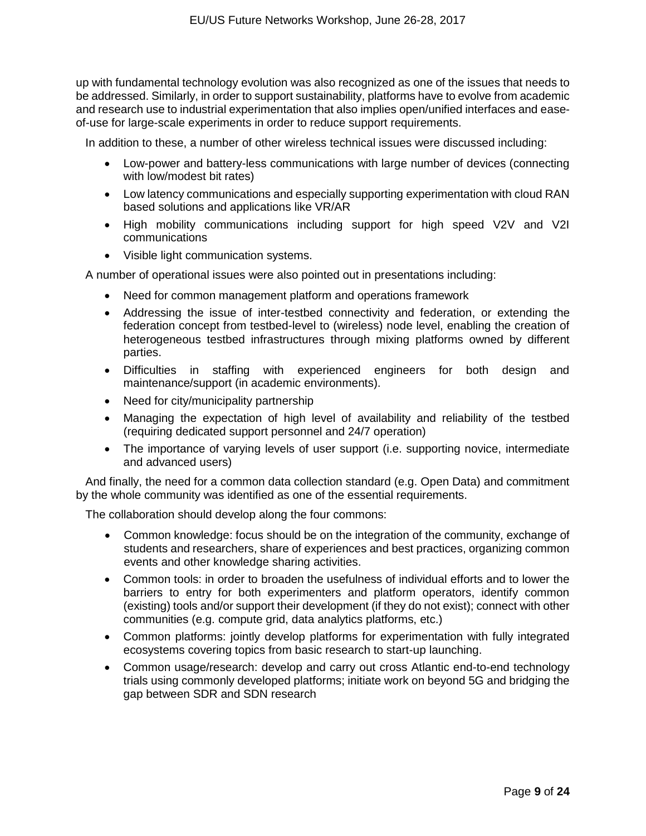up with fundamental technology evolution was also recognized as one of the issues that needs to be addressed. Similarly, in order to support sustainability, platforms have to evolve from academic and research use to industrial experimentation that also implies open/unified interfaces and easeof-use for large-scale experiments in order to reduce support requirements.

In addition to these, a number of other wireless technical issues were discussed including:

- Low-power and battery-less communications with large number of devices (connecting with low/modest bit rates)
- Low latency communications and especially supporting experimentation with cloud RAN based solutions and applications like VR/AR
- High mobility communications including support for high speed V2V and V2I communications
- Visible light communication systems.

A number of operational issues were also pointed out in presentations including:

- Need for common management platform and operations framework
- Addressing the issue of inter-testbed connectivity and federation, or extending the federation concept from testbed-level to (wireless) node level, enabling the creation of heterogeneous testbed infrastructures through mixing platforms owned by different parties.
- Difficulties in staffing with experienced engineers for both design and maintenance/support (in academic environments).
- Need for city/municipality partnership
- Managing the expectation of high level of availability and reliability of the testbed (requiring dedicated support personnel and 24/7 operation)
- The importance of varying levels of user support (i.e. supporting novice, intermediate and advanced users)

And finally, the need for a common data collection standard (e.g. Open Data) and commitment by the whole community was identified as one of the essential requirements.

The collaboration should develop along the four commons:

- Common knowledge: focus should be on the integration of the community, exchange of students and researchers, share of experiences and best practices, organizing common events and other knowledge sharing activities.
- Common tools: in order to broaden the usefulness of individual efforts and to lower the barriers to entry for both experimenters and platform operators, identify common (existing) tools and/or support their development (if they do not exist); connect with other communities (e.g. compute grid, data analytics platforms, etc.)
- Common platforms: jointly develop platforms for experimentation with fully integrated ecosystems covering topics from basic research to start-up launching.
- Common usage/research: develop and carry out cross Atlantic end-to-end technology trials using commonly developed platforms; initiate work on beyond 5G and bridging the gap between SDR and SDN research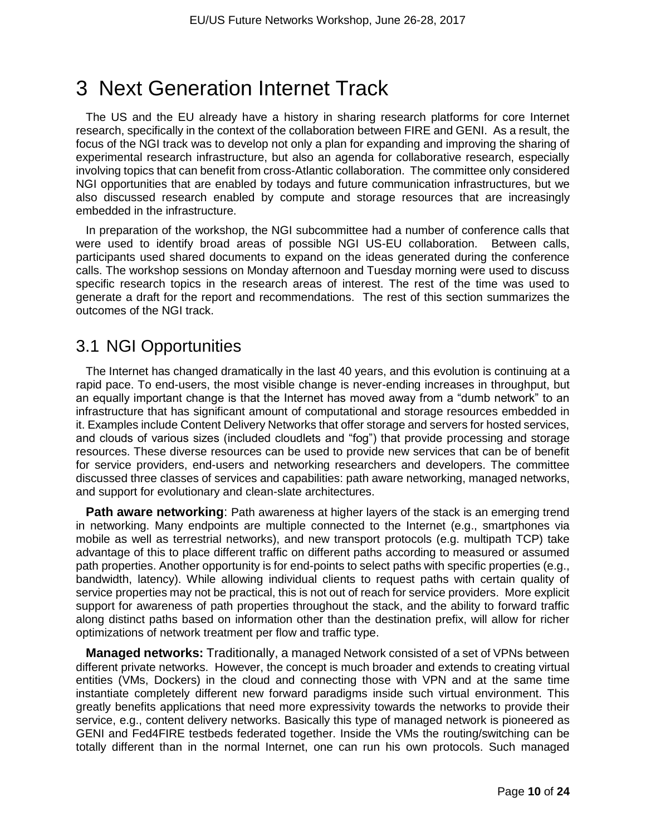# 3 Next Generation Internet Track

The US and the EU already have a history in sharing research platforms for core Internet research, specifically in the context of the collaboration between FIRE and GENI. As a result, the focus of the NGI track was to develop not only a plan for expanding and improving the sharing of experimental research infrastructure, but also an agenda for collaborative research, especially involving topics that can benefit from cross-Atlantic collaboration. The committee only considered NGI opportunities that are enabled by todays and future communication infrastructures, but we also discussed research enabled by compute and storage resources that are increasingly embedded in the infrastructure.

In preparation of the workshop, the NGI subcommittee had a number of conference calls that were used to identify broad areas of possible NGI US-EU collaboration. Between calls, participants used shared documents to expand on the ideas generated during the conference calls. The workshop sessions on Monday afternoon and Tuesday morning were used to discuss specific research topics in the research areas of interest. The rest of the time was used to generate a draft for the report and recommendations. The rest of this section summarizes the outcomes of the NGI track.

### 3.1 NGI Opportunities

The Internet has changed dramatically in the last 40 years, and this evolution is continuing at a rapid pace. To end-users, the most visible change is never-ending increases in throughput, but an equally important change is that the Internet has moved away from a "dumb network" to an infrastructure that has significant amount of computational and storage resources embedded in it. Examples include Content Delivery Networks that offer storage and servers for hosted services, and clouds of various sizes (included cloudlets and "fog") that provide processing and storage resources. These diverse resources can be used to provide new services that can be of benefit for service providers, end-users and networking researchers and developers. The committee discussed three classes of services and capabilities: path aware networking, managed networks, and support for evolutionary and clean-slate architectures.

**Path aware networking**: Path awareness at higher layers of the stack is an emerging trend in networking. Many endpoints are multiple connected to the Internet (e.g., smartphones via mobile as well as terrestrial networks), and new transport protocols (e.g. multipath TCP) take advantage of this to place different traffic on different paths according to measured or assumed path properties. Another opportunity is for end-points to select paths with specific properties (e.g., bandwidth, latency). While allowing individual clients to request paths with certain quality of service properties may not be practical, this is not out of reach for service providers. More explicit support for awareness of path properties throughout the stack, and the ability to forward traffic along distinct paths based on information other than the destination prefix, will allow for richer optimizations of network treatment per flow and traffic type.

**Managed networks:** Traditionally, a managed Network consisted of a set of VPNs between different private networks. However, the concept is much broader and extends to creating virtual entities (VMs, Dockers) in the cloud and connecting those with VPN and at the same time instantiate completely different new forward paradigms inside such virtual environment. This greatly benefits applications that need more expressivity towards the networks to provide their service, e.g., content delivery networks. Basically this type of managed network is pioneered as GENI and Fed4FIRE testbeds federated together. Inside the VMs the routing/switching can be totally different than in the normal Internet, one can run his own protocols. Such managed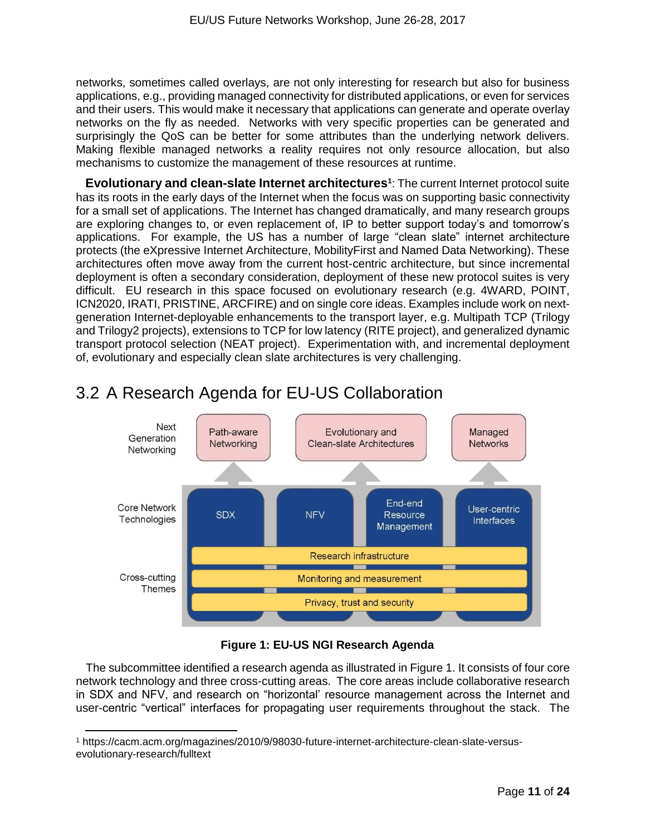networks, sometimes called overlays, are not only interesting for research but also for business applications, e.g., providing managed connectivity for distributed applications, or even for services and their users. This would make it necessary that applications can generate and operate overlay networks on the fly as needed. Networks with very specific properties can be generated and surprisingly the QoS can be better for some attributes than the underlying network delivers. Making flexible managed networks a reality requires not only resource allocation, but also mechanisms to customize the management of these resources at runtime.

**Evolutionary and clean-slate Internet architectures<sup>1</sup>** : The current Internet protocol suite has its roots in the early days of the Internet when the focus was on supporting basic connectivity for a small set of applications. The Internet has changed dramatically, and many research groups are exploring changes to, or even replacement of, IP to better support today's and tomorrow's applications. For example, the US has a number of large "clean slate" internet architecture protects (the eXpressive Internet Architecture, MobilityFirst and Named Data Networking). These architectures often move away from the current host-centric architecture, but since incremental deployment is often a secondary consideration, deployment of these new protocol suites is very difficult. EU research in this space focused on evolutionary research (e.g. 4WARD, POINT, ICN2020, IRATI, PRISTINE, ARCFIRE) and on single core ideas. Examples include work on nextgeneration Internet-deployable enhancements to the transport layer, e.g. Multipath TCP (Trilogy and Trilogy2 projects), extensions to TCP for low latency (RITE project), and generalized dynamic transport protocol selection (NEAT project). Experimentation with, and incremental deployment of, evolutionary and especially clean slate architectures is very challenging.



## 3.2 A Research Agenda for EU-US Collaboration

#### **Figure 1: EU-US NGI Research Agenda**

The subcommittee identified a research agenda as illustrated in Figure 1. It consists of four core network technology and three cross-cutting areas. The core areas include collaborative research in SDX and NFV, and research on "horizontal' resource management across the Internet and user-centric "vertical" interfaces for propagating user requirements throughout the stack. The

 $\overline{a}$ 

<sup>1</sup> https://cacm.acm.org/magazines/2010/9/98030-future-internet-architecture-clean-slate-versusevolutionary-research/fulltext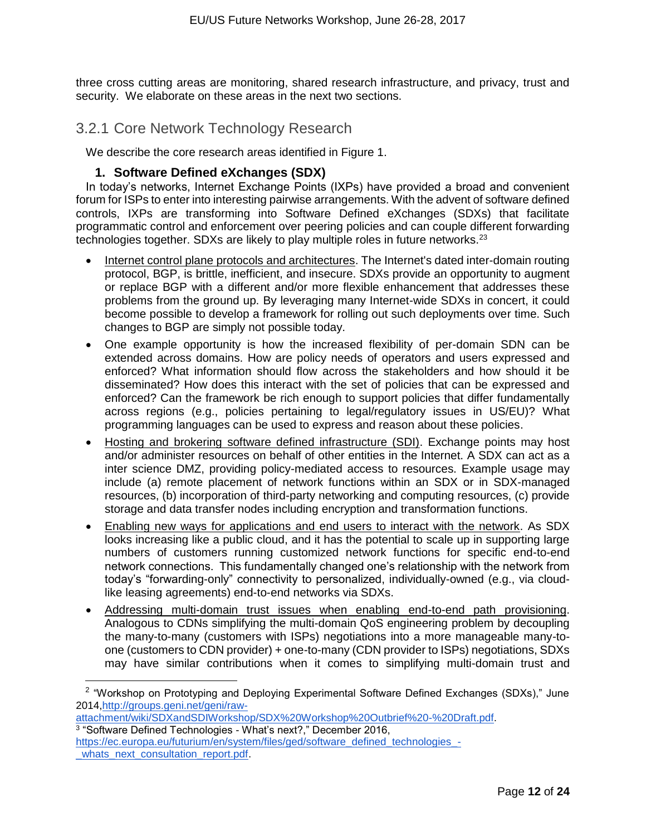three cross cutting areas are monitoring, shared research infrastructure, and privacy, trust and security. We elaborate on these areas in the next two sections.

#### 3.2.1 Core Network Technology Research

We describe the core research areas identified in Figure 1.

#### **1. Software Defined eXchanges (SDX)**

In today's networks, Internet Exchange Points (IXPs) have provided a broad and convenient forum for ISPs to enter into interesting pairwise arrangements. With the advent of software defined controls, IXPs are transforming into Software Defined eXchanges (SDXs) that facilitate programmatic control and enforcement over peering policies and can couple different forwarding technologies together. SDXs are likely to play multiple roles in future networks. $2^3$ 

- Internet control plane protocols and architectures. The Internet's dated inter-domain routing protocol, BGP, is brittle, inefficient, and insecure. SDXs provide an opportunity to augment or replace BGP with a different and/or more flexible enhancement that addresses these problems from the ground up. By leveraging many Internet-wide SDXs in concert, it could become possible to develop a framework for rolling out such deployments over time. Such changes to BGP are simply not possible today.
- One example opportunity is how the increased flexibility of per-domain SDN can be extended across domains. How are policy needs of operators and users expressed and enforced? What information should flow across the stakeholders and how should it be disseminated? How does this interact with the set of policies that can be expressed and enforced? Can the framework be rich enough to support policies that differ fundamentally across regions (e.g., policies pertaining to legal/regulatory issues in US/EU)? What programming languages can be used to express and reason about these policies.
- Hosting and brokering software defined infrastructure (SDI). Exchange points may host and/or administer resources on behalf of other entities in the Internet. A SDX can act as a inter science DMZ, providing policy-mediated access to resources. Example usage may include (a) remote placement of network functions within an SDX or in SDX-managed resources, (b) incorporation of third-party networking and computing resources, (c) provide storage and data transfer nodes including encryption and transformation functions.
- Enabling new ways for applications and end users to interact with the network. As SDX looks increasing like a public cloud, and it has the potential to scale up in supporting large numbers of customers running customized network functions for specific end-to-end network connections. This fundamentally changed one's relationship with the network from today's "forwarding-only" connectivity to personalized, individually-owned (e.g., via cloudlike leasing agreements) end-to-end networks via SDXs.
- Addressing multi-domain trust issues when enabling end-to-end path provisioning. Analogous to CDNs simplifying the multi-domain QoS engineering problem by decoupling the many-to-many (customers with ISPs) negotiations into a more manageable many-toone (customers to CDN provider) + one-to-many (CDN provider to ISPs) negotiations, SDXs may have similar contributions when it comes to simplifying multi-domain trust and

<sup>2</sup> "Workshop on Prototyping and Deploying Experimental Software Defined Exchanges (SDXs)," June 2014[,http://groups.geni.net/geni/raw-](http://groups.geni.net/geni/raw-attachment/wiki/SDXandSDIWorkshop/SDX%20Workshop%20Outbrief%20-%20Draft.pdf)

[attachment/wiki/SDXandSDIWorkshop/SDX%20Workshop%20Outbrief%20-%20Draft.pdf.](http://groups.geni.net/geni/raw-attachment/wiki/SDXandSDIWorkshop/SDX%20Workshop%20Outbrief%20-%20Draft.pdf) 3 "Software Defined Technologies - What's next?," December 2016,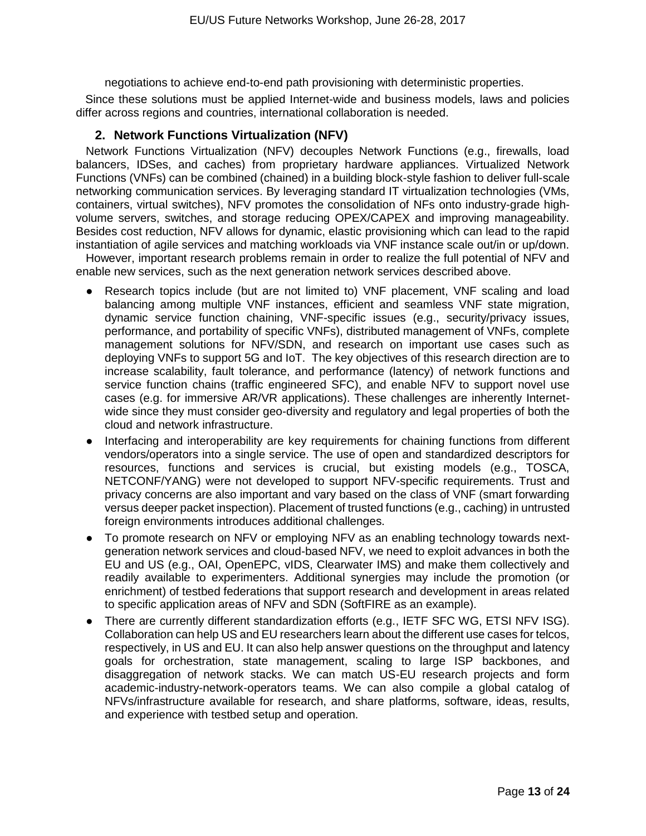negotiations to achieve end-to-end path provisioning with deterministic properties.

Since these solutions must be applied Internet-wide and business models, laws and policies differ across regions and countries, international collaboration is needed.

#### **2. Network Functions Virtualization (NFV)**

Network Functions Virtualization (NFV) decouples Network Functions (e.g., firewalls, load balancers, IDSes, and caches) from proprietary hardware appliances. Virtualized Network Functions (VNFs) can be combined (chained) in a building block-style fashion to deliver full-scale networking communication services. By leveraging standard IT virtualization technologies (VMs, containers, virtual switches), NFV promotes the consolidation of NFs onto industry-grade highvolume servers, switches, and storage reducing OPEX/CAPEX and improving manageability. Besides cost reduction, NFV allows for dynamic, elastic provisioning which can lead to the rapid instantiation of agile services and matching workloads via VNF instance scale out/in or up/down.

However, important research problems remain in order to realize the full potential of NFV and enable new services, such as the next generation network services described above.

- Research topics include (but are not limited to) VNF placement, VNF scaling and load balancing among multiple VNF instances, efficient and seamless VNF state migration, dynamic service function chaining, VNF-specific issues (e.g., security/privacy issues, performance, and portability of specific VNFs), distributed management of VNFs, complete management solutions for NFV/SDN, and research on important use cases such as deploying VNFs to support 5G and IoT. The key objectives of this research direction are to increase scalability, fault tolerance, and performance (latency) of network functions and service function chains (traffic engineered SFC), and enable NFV to support novel use cases (e.g. for immersive AR/VR applications). These challenges are inherently Internetwide since they must consider geo-diversity and regulatory and legal properties of both the cloud and network infrastructure.
- Interfacing and interoperability are key requirements for chaining functions from different vendors/operators into a single service. The use of open and standardized descriptors for resources, functions and services is crucial, but existing models (e.g., TOSCA, NETCONF/YANG) were not developed to support NFV-specific requirements. Trust and privacy concerns are also important and vary based on the class of VNF (smart forwarding versus deeper packet inspection). Placement of trusted functions (e.g., caching) in untrusted foreign environments introduces additional challenges.
- To promote research on NFV or employing NFV as an enabling technology towards nextgeneration network services and cloud-based NFV, we need to exploit advances in both the EU and US (e.g., OAI, OpenEPC, vIDS, Clearwater IMS) and make them collectively and readily available to experimenters. Additional synergies may include the promotion (or enrichment) of testbed federations that support research and development in areas related to specific application areas of NFV and SDN (SoftFIRE as an example).
- There are currently different standardization efforts (e.g., IETF SFC WG, ETSI NFV ISG). Collaboration can help US and EU researchers learn about the different use cases for telcos, respectively, in US and EU. It can also help answer questions on the throughput and latency goals for orchestration, state management, scaling to large ISP backbones, and disaggregation of network stacks. We can match US-EU research projects and form academic-industry-network-operators teams. We can also compile a global catalog of NFVs/infrastructure available for research, and share platforms, software, ideas, results, and experience with testbed setup and operation.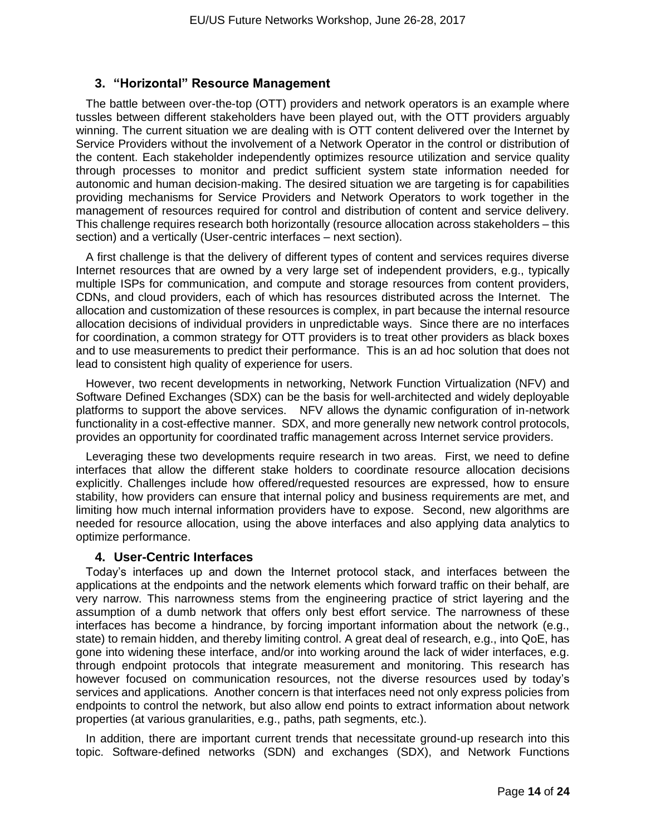#### **3. "Horizontal" Resource Management**

The battle between over-the-top (OTT) providers and network operators is an example where tussles between different stakeholders have been played out, with the OTT providers arguably winning. The current situation we are dealing with is OTT content delivered over the Internet by Service Providers without the involvement of a Network Operator in the control or distribution of the content. Each stakeholder independently optimizes resource utilization and service quality through processes to monitor and predict sufficient system state information needed for autonomic and human decision-making. The desired situation we are targeting is for capabilities providing mechanisms for Service Providers and Network Operators to work together in the management of resources required for control and distribution of content and service delivery. This challenge requires research both horizontally (resource allocation across stakeholders – this section) and a vertically (User-centric interfaces – next section).

A first challenge is that the delivery of different types of content and services requires diverse Internet resources that are owned by a very large set of independent providers, e.g., typically multiple ISPs for communication, and compute and storage resources from content providers, CDNs, and cloud providers, each of which has resources distributed across the Internet. The allocation and customization of these resources is complex, in part because the internal resource allocation decisions of individual providers in unpredictable ways. Since there are no interfaces for coordination, a common strategy for OTT providers is to treat other providers as black boxes and to use measurements to predict their performance. This is an ad hoc solution that does not lead to consistent high quality of experience for users.

However, two recent developments in networking, Network Function Virtualization (NFV) and Software Defined Exchanges (SDX) can be the basis for well-architected and widely deployable platforms to support the above services. NFV allows the dynamic configuration of in-network functionality in a cost-effective manner. SDX, and more generally new network control protocols, provides an opportunity for coordinated traffic management across Internet service providers.

Leveraging these two developments require research in two areas. First, we need to define interfaces that allow the different stake holders to coordinate resource allocation decisions explicitly. Challenges include how offered/requested resources are expressed, how to ensure stability, how providers can ensure that internal policy and business requirements are met, and limiting how much internal information providers have to expose. Second, new algorithms are needed for resource allocation, using the above interfaces and also applying data analytics to optimize performance.

#### **4. User-Centric Interfaces**

Today's interfaces up and down the Internet protocol stack, and interfaces between the applications at the endpoints and the network elements which forward traffic on their behalf, are very narrow. This narrowness stems from the engineering practice of strict layering and the assumption of a dumb network that offers only best effort service. The narrowness of these interfaces has become a hindrance, by forcing important information about the network (e.g., state) to remain hidden, and thereby limiting control. A great deal of research, e.g., into QoE, has gone into widening these interface, and/or into working around the lack of wider interfaces, e.g. through endpoint protocols that integrate measurement and monitoring. This research has however focused on communication resources, not the diverse resources used by today's services and applications. Another concern is that interfaces need not only express policies from endpoints to control the network, but also allow end points to extract information about network properties (at various granularities, e.g., paths, path segments, etc.).

In addition, there are important current trends that necessitate ground-up research into this topic. Software-defined networks (SDN) and exchanges (SDX), and Network Functions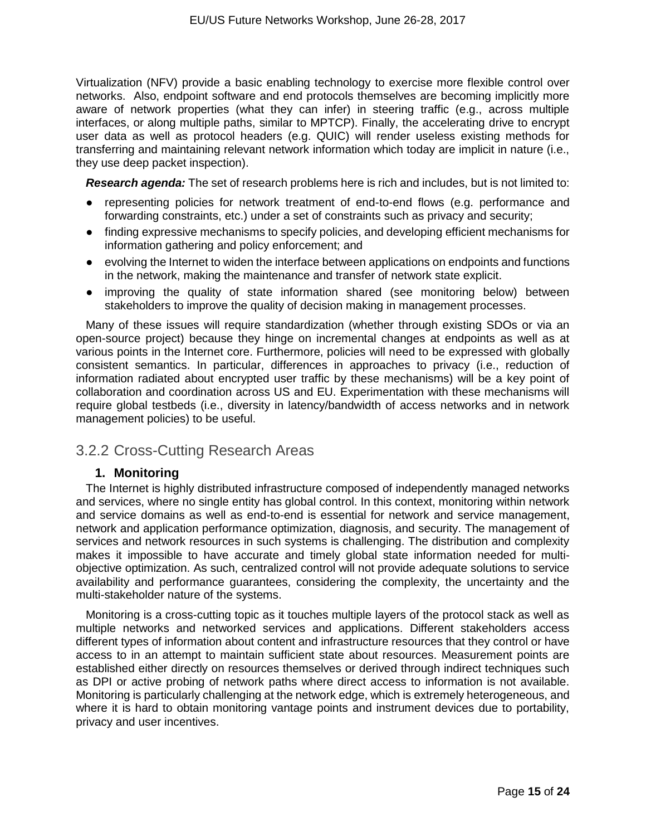Virtualization (NFV) provide a basic enabling technology to exercise more flexible control over networks. Also, endpoint software and end protocols themselves are becoming implicitly more aware of network properties (what they can infer) in steering traffic (e.g., across multiple interfaces, or along multiple paths, similar to MPTCP). Finally, the accelerating drive to encrypt user data as well as protocol headers (e.g. QUIC) will render useless existing methods for transferring and maintaining relevant network information which today are implicit in nature (i.e., they use deep packet inspection).

*Research agenda:* The set of research problems here is rich and includes, but is not limited to:

- representing policies for network treatment of end-to-end flows (e.g. performance and forwarding constraints, etc.) under a set of constraints such as privacy and security;
- finding expressive mechanisms to specify policies, and developing efficient mechanisms for information gathering and policy enforcement; and
- evolving the Internet to widen the interface between applications on endpoints and functions in the network, making the maintenance and transfer of network state explicit.
- improving the quality of state information shared (see monitoring below) between stakeholders to improve the quality of decision making in management processes.

Many of these issues will require standardization (whether through existing SDOs or via an open-source project) because they hinge on incremental changes at endpoints as well as at various points in the Internet core. Furthermore, policies will need to be expressed with globally consistent semantics. In particular, differences in approaches to privacy (i.e., reduction of information radiated about encrypted user traffic by these mechanisms) will be a key point of collaboration and coordination across US and EU. Experimentation with these mechanisms will require global testbeds (i.e., diversity in latency/bandwidth of access networks and in network management policies) to be useful.

#### 3.2.2 Cross-Cutting Research Areas

#### **1. Monitoring**

The Internet is highly distributed infrastructure composed of independently managed networks and services, where no single entity has global control. In this context, monitoring within network and service domains as well as end-to-end is essential for network and service management, network and application performance optimization, diagnosis, and security. The management of services and network resources in such systems is challenging. The distribution and complexity makes it impossible to have accurate and timely global state information needed for multiobjective optimization. As such, centralized control will not provide adequate solutions to service availability and performance guarantees, considering the complexity, the uncertainty and the multi-stakeholder nature of the systems.

Monitoring is a cross-cutting topic as it touches multiple layers of the protocol stack as well as multiple networks and networked services and applications. Different stakeholders access different types of information about content and infrastructure resources that they control or have access to in an attempt to maintain sufficient state about resources. Measurement points are established either directly on resources themselves or derived through indirect techniques such as DPI or active probing of network paths where direct access to information is not available. Monitoring is particularly challenging at the network edge, which is extremely heterogeneous, and where it is hard to obtain monitoring vantage points and instrument devices due to portability, privacy and user incentives.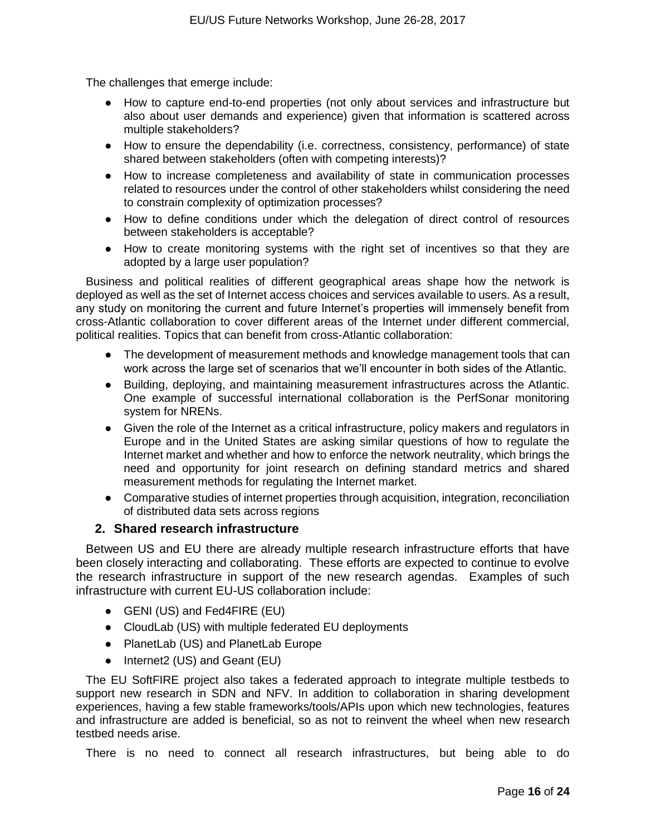The challenges that emerge include:

- How to capture end-to-end properties (not only about services and infrastructure but also about user demands and experience) given that information is scattered across multiple stakeholders?
- How to ensure the dependability (i.e. correctness, consistency, performance) of state shared between stakeholders (often with competing interests)?
- How to increase completeness and availability of state in communication processes related to resources under the control of other stakeholders whilst considering the need to constrain complexity of optimization processes?
- How to define conditions under which the delegation of direct control of resources between stakeholders is acceptable?
- How to create monitoring systems with the right set of incentives so that they are adopted by a large user population?

Business and political realities of different geographical areas shape how the network is deployed as well as the set of Internet access choices and services available to users. As a result, any study on monitoring the current and future Internet's properties will immensely benefit from cross-Atlantic collaboration to cover different areas of the Internet under different commercial, political realities. Topics that can benefit from cross-Atlantic collaboration:

- The development of measurement methods and knowledge management tools that can work across the large set of scenarios that we'll encounter in both sides of the Atlantic.
- Building, deploying, and maintaining measurement infrastructures across the Atlantic. One example of successful international collaboration is the PerfSonar monitoring system for NRENs.
- Given the role of the Internet as a critical infrastructure, policy makers and regulators in Europe and in the United States are asking similar questions of how to regulate the Internet market and whether and how to enforce the network neutrality, which brings the need and opportunity for joint research on defining standard metrics and shared measurement methods for regulating the Internet market.
- Comparative studies of internet properties through acquisition, integration, reconciliation of distributed data sets across regions

#### **2. Shared research infrastructure**

Between US and EU there are already multiple research infrastructure efforts that have been closely interacting and collaborating. These efforts are expected to continue to evolve the research infrastructure in support of the new research agendas. Examples of such infrastructure with current EU-US collaboration include:

- GENI (US) and Fed4FIRE (EU)
- CloudLab (US) with multiple federated EU deployments
- PlanetLab (US) and PlanetLab Europe
- Internet2 (US) and Geant (EU)

The EU SoftFIRE project also takes a federated approach to integrate multiple testbeds to support new research in SDN and NFV. In addition to collaboration in sharing development experiences, having a few stable frameworks/tools/APIs upon which new technologies, features and infrastructure are added is beneficial, so as not to reinvent the wheel when new research testbed needs arise.

There is no need to connect all research infrastructures, but being able to do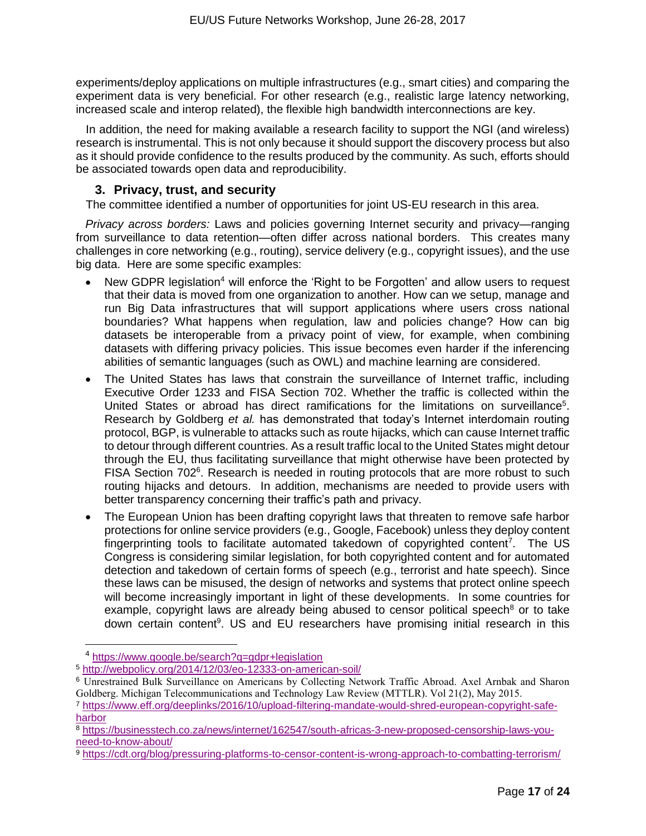experiments/deploy applications on multiple infrastructures (e.g., smart cities) and comparing the experiment data is very beneficial. For other research (e.g., realistic large latency networking, increased scale and interop related), the flexible high bandwidth interconnections are key.

In addition, the need for making available a research facility to support the NGI (and wireless) research is instrumental. This is not only because it should support the discovery process but also as it should provide confidence to the results produced by the community. As such, efforts should be associated towards open data and reproducibility.

#### **3. Privacy, trust, and security**

The committee identified a number of opportunities for joint US-EU research in this area.

*Privacy across borders:* Laws and policies governing Internet security and privacy—ranging from surveillance to data retention—often differ across national borders. This creates many challenges in core networking (e.g., routing), service delivery (e.g., copyright issues), and the use big data. Here are some specific examples:

- New GDPR legislation<sup>4</sup> will enforce the 'Right to be Forgotten' and allow users to request that their data is moved from one organization to another. How can we setup, manage and run Big Data infrastructures that will support applications where users cross national boundaries? What happens when regulation, law and policies change? How can big datasets be interoperable from a privacy point of view, for example, when combining datasets with differing privacy policies. This issue becomes even harder if the inferencing abilities of semantic languages (such as OWL) and machine learning are considered.
- The United States has laws that constrain the surveillance of Internet traffic, including Executive Order 1233 and FISA Section 702. Whether the traffic is collected within the United States or abroad has direct ramifications for the limitations on surveillance<sup>5</sup>. Research by Goldberg *et al.* has demonstrated that today's Internet interdomain routing protocol, BGP, is vulnerable to attacks such as route hijacks, which can cause Internet traffic to detour through different countries. As a result traffic local to the United States might detour through the EU, thus facilitating surveillance that might otherwise have been protected by FISA Section 702<sup>6</sup>. Research is needed in routing protocols that are more robust to such routing hijacks and detours. In addition, mechanisms are needed to provide users with better transparency concerning their traffic's path and privacy.
- The European Union has been drafting copyright laws that threaten to remove safe harbor protections for online service providers (e.g., Google, Facebook) unless they deploy content fingerprinting tools to facilitate automated takedown of copyrighted content<sup>7</sup>. The US Congress is considering similar legislation, for both copyrighted content and for automated detection and takedown of certain forms of speech (e.g., terrorist and hate speech). Since these laws can be misused, the design of networks and systems that protect online speech will become increasingly important in light of these developments. In some countries for example, copyright laws are already being abused to censor political speech<sup>8</sup> or to take down certain content<sup>9</sup>. US and EU researchers have promising initial research in this

 $\overline{a}$ 

<sup>4</sup> <https://www.google.be/search?q=gdpr+legislation>

<sup>5</sup> <http://webpolicy.org/2014/12/03/eo-12333-on-american-soil/>

<sup>6</sup> Unrestrained Bulk Surveillance on Americans by Collecting Network Traffic Abroad. Axel Arnbak and Sharon Goldberg. Michigan Telecommunications and Technology Law Review (MTTLR). Vol 21(2), May 2015.

<sup>7</sup> [https://www.eff.org/deeplinks/2016/10/upload-filtering-mandate-would-shred-european-copyright-safe](https://www.eff.org/deeplinks/2016/10/upload-filtering-mandate-would-shred-european-copyright-safe-harbor)[harbor](https://www.eff.org/deeplinks/2016/10/upload-filtering-mandate-would-shred-european-copyright-safe-harbor)

<sup>8</sup> [https://businesstech.co.za/news/internet/162547/south-africas-3-new-proposed-censorship-laws-you](https://businesstech.co.za/news/internet/162547/south-africas-3-new-proposed-censorship-laws-you-need-to-know-about/)[need-to-know-about/](https://businesstech.co.za/news/internet/162547/south-africas-3-new-proposed-censorship-laws-you-need-to-know-about/)

<sup>9</sup> <https://cdt.org/blog/pressuring-platforms-to-censor-content-is-wrong-approach-to-combatting-terrorism/>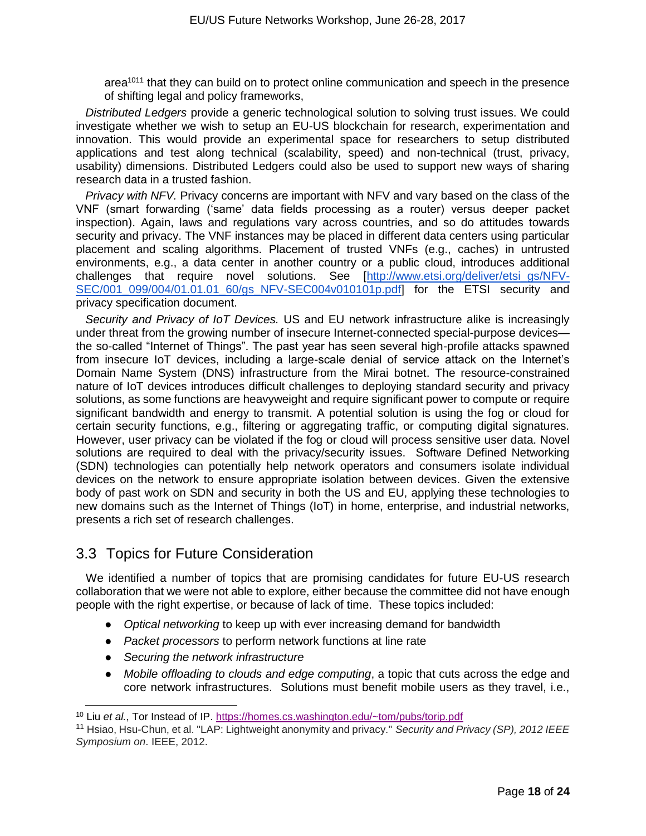$area<sup>1011</sup>$  that they can build on to protect online communication and speech in the presence of shifting legal and policy frameworks,

*Distributed Ledgers* provide a generic technological solution to solving trust issues. We could investigate whether we wish to setup an EU-US blockchain for research, experimentation and innovation. This would provide an experimental space for researchers to setup distributed applications and test along technical (scalability, speed) and non-technical (trust, privacy, usability) dimensions. Distributed Ledgers could also be used to support new ways of sharing research data in a trusted fashion.

*Privacy with NFV.* Privacy concerns are important with NFV and vary based on the class of the VNF (smart forwarding ('same' data fields processing as a router) versus deeper packet inspection). Again, laws and regulations vary across countries, and so do attitudes towards security and privacy. The VNF instances may be placed in different data centers using particular placement and scaling algorithms. Placement of trusted VNFs (e.g., caches) in untrusted environments, e.g., a data center in another country or a public cloud, introduces additional challenges that require novel solutions. See [\[http://www.etsi.org/deliver/etsi\\_gs/NFV-](http://www.etsi.org/deliver/etsi_gs/NFV-SEC/001_099/004/01.01.01_60/gs_NFV-SEC004v010101p.pdf)[SEC/001\\_099/004/01.01.01\\_60/gs\\_NFV-SEC004v010101p.pdf\]](http://www.etsi.org/deliver/etsi_gs/NFV-SEC/001_099/004/01.01.01_60/gs_NFV-SEC004v010101p.pdf) for the ETSI security and privacy specification document.

*Security and Privacy of IoT Devices.* US and EU network infrastructure alike is increasingly under threat from the growing number of insecure Internet-connected special-purpose devices the so-called "Internet of Things". The past year has seen several high-profile attacks spawned from insecure IoT devices, including a large-scale denial of service attack on the Internet's Domain Name System (DNS) infrastructure from the Mirai botnet. The resource-constrained nature of IoT devices introduces difficult challenges to deploying standard security and privacy solutions, as some functions are heavyweight and require significant power to compute or require significant bandwidth and energy to transmit. A potential solution is using the fog or cloud for certain security functions, e.g., filtering or aggregating traffic, or computing digital signatures. However, user privacy can be violated if the fog or cloud will process sensitive user data. Novel solutions are required to deal with the privacy/security issues. Software Defined Networking (SDN) technologies can potentially help network operators and consumers isolate individual devices on the network to ensure appropriate isolation between devices. Given the extensive body of past work on SDN and security in both the US and EU, applying these technologies to new domains such as the Internet of Things (IoT) in home, enterprise, and industrial networks, presents a rich set of research challenges.

#### 3.3 Topics for Future Consideration

We identified a number of topics that are promising candidates for future EU-US research collaboration that we were not able to explore, either because the committee did not have enough people with the right expertise, or because of lack of time. These topics included:

- *Optical networking* to keep up with ever increasing demand for bandwidth
- *Packet processors* to perform network functions at line rate
- *Securing the network infrastructure*

● *Mobile offloading to clouds and edge computing*, a topic that cuts across the edge and core network infrastructures. Solutions must benefit mobile users as they travel, i.e.,

<sup>10</sup> Liu *et al.*, Tor Instead of IP.<https://homes.cs.washington.edu/~tom/pubs/torip.pdf>

<sup>11</sup> Hsiao, Hsu-Chun, et al. "LAP: Lightweight anonymity and privacy." *Security and Privacy (SP), 2012 IEEE Symposium on*. IEEE, 2012.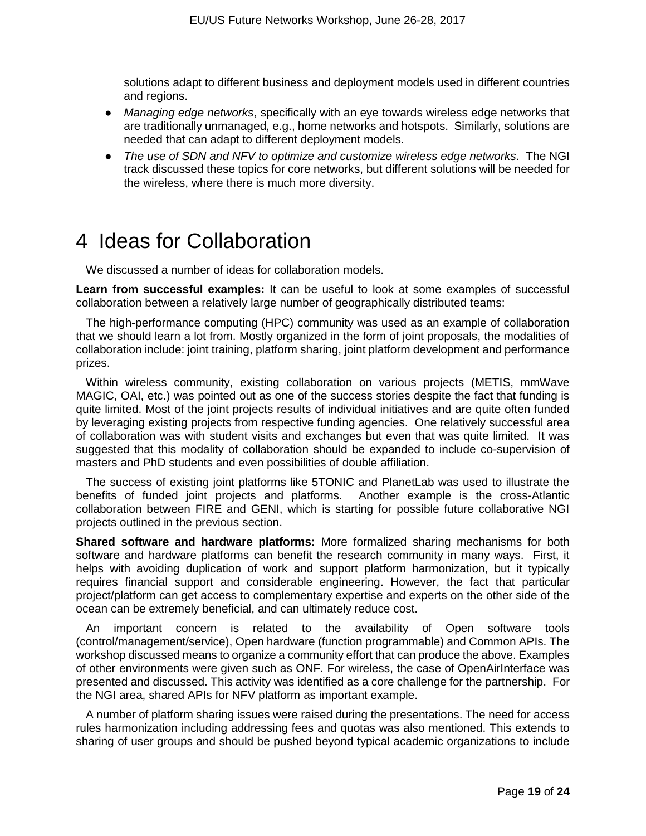solutions adapt to different business and deployment models used in different countries and regions.

- *Managing edge networks*, specifically with an eye towards wireless edge networks that are traditionally unmanaged, e.g., home networks and hotspots. Similarly, solutions are needed that can adapt to different deployment models.
- *The use of SDN and NFV to optimize and customize wireless edge networks*. The NGI track discussed these topics for core networks, but different solutions will be needed for the wireless, where there is much more diversity.

# 4 Ideas for Collaboration

We discussed a number of ideas for collaboration models.

**Learn from successful examples:** It can be useful to look at some examples of successful collaboration between a relatively large number of geographically distributed teams:

The high-performance computing (HPC) community was used as an example of collaboration that we should learn a lot from. Mostly organized in the form of joint proposals, the modalities of collaboration include: joint training, platform sharing, joint platform development and performance prizes.

Within wireless community, existing collaboration on various projects (METIS, mmWave MAGIC, OAI, etc.) was pointed out as one of the success stories despite the fact that funding is quite limited. Most of the joint projects results of individual initiatives and are quite often funded by leveraging existing projects from respective funding agencies. One relatively successful area of collaboration was with student visits and exchanges but even that was quite limited. It was suggested that this modality of collaboration should be expanded to include co-supervision of masters and PhD students and even possibilities of double affiliation.

The success of existing joint platforms like 5TONIC and PlanetLab was used to illustrate the benefits of funded joint projects and platforms. Another example is the cross-Atlantic collaboration between FIRE and GENI, which is starting for possible future collaborative NGI projects outlined in the previous section.

**Shared software and hardware platforms:** More formalized sharing mechanisms for both software and hardware platforms can benefit the research community in many ways. First, it helps with avoiding duplication of work and support platform harmonization, but it typically requires financial support and considerable engineering. However, the fact that particular project/platform can get access to complementary expertise and experts on the other side of the ocean can be extremely beneficial, and can ultimately reduce cost.

An important concern is related to the availability of Open software tools (control/management/service), Open hardware (function programmable) and Common APIs. The workshop discussed means to organize a community effort that can produce the above. Examples of other environments were given such as ONF. For wireless, the case of OpenAirInterface was presented and discussed. This activity was identified as a core challenge for the partnership. For the NGI area, shared APIs for NFV platform as important example.

A number of platform sharing issues were raised during the presentations. The need for access rules harmonization including addressing fees and quotas was also mentioned. This extends to sharing of user groups and should be pushed beyond typical academic organizations to include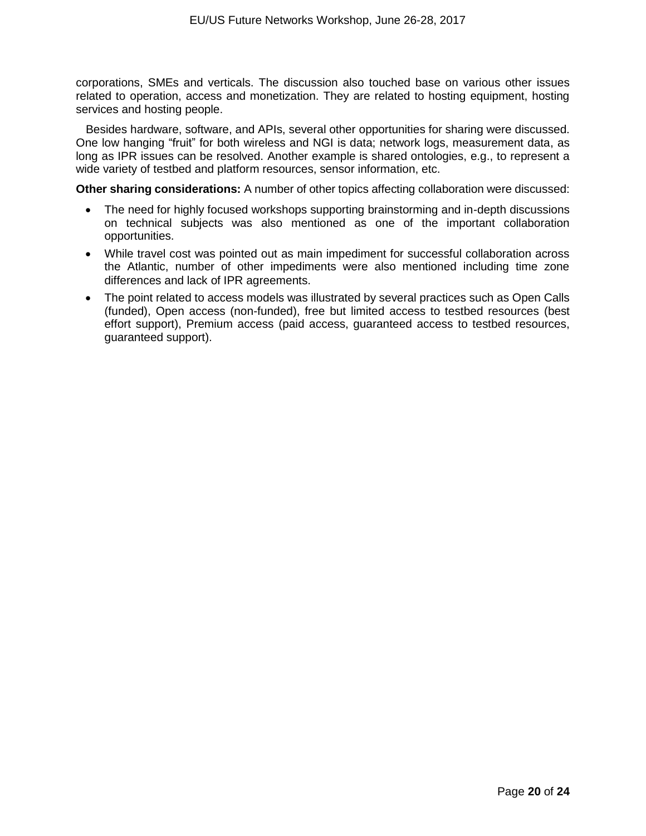corporations, SMEs and verticals. The discussion also touched base on various other issues related to operation, access and monetization. They are related to hosting equipment, hosting services and hosting people.

Besides hardware, software, and APIs, several other opportunities for sharing were discussed. One low hanging "fruit" for both wireless and NGI is data; network logs, measurement data, as long as IPR issues can be resolved. Another example is shared ontologies, e.g., to represent a wide variety of testbed and platform resources, sensor information, etc.

**Other sharing considerations:** A number of other topics affecting collaboration were discussed:

- The need for highly focused workshops supporting brainstorming and in-depth discussions on technical subjects was also mentioned as one of the important collaboration opportunities.
- While travel cost was pointed out as main impediment for successful collaboration across the Atlantic, number of other impediments were also mentioned including time zone differences and lack of IPR agreements.
- The point related to access models was illustrated by several practices such as Open Calls (funded), Open access (non-funded), free but limited access to testbed resources (best effort support), Premium access (paid access, guaranteed access to testbed resources, guaranteed support).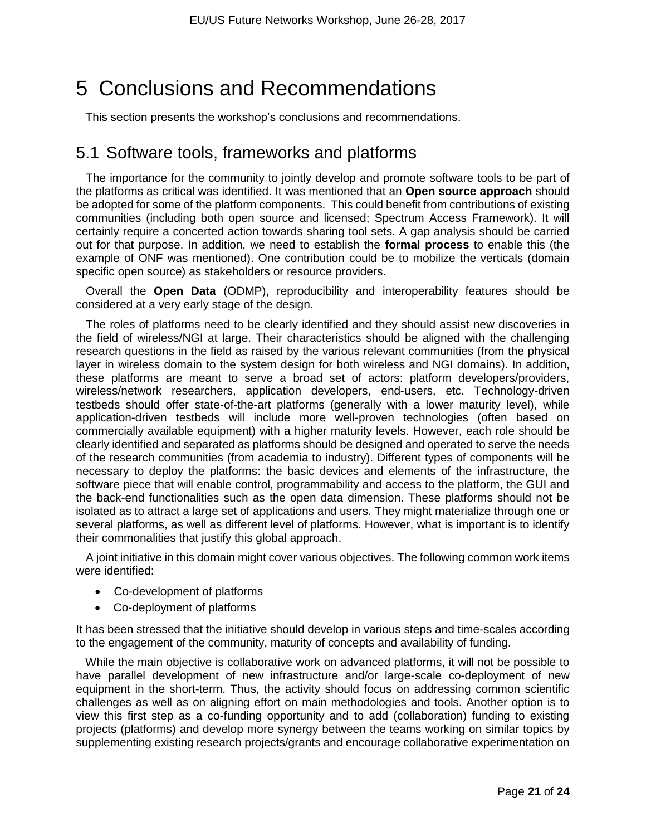# 5 Conclusions and Recommendations

This section presents the workshop's conclusions and recommendations.

### 5.1 Software tools, frameworks and platforms

The importance for the community to jointly develop and promote software tools to be part of the platforms as critical was identified. It was mentioned that an **Open source approach** should be adopted for some of the platform components. This could benefit from contributions of existing communities (including both open source and licensed; Spectrum Access Framework). It will certainly require a concerted action towards sharing tool sets. A gap analysis should be carried out for that purpose. In addition, we need to establish the **formal process** to enable this (the example of ONF was mentioned). One contribution could be to mobilize the verticals (domain specific open source) as stakeholders or resource providers.

Overall the **Open Data** (ODMP), reproducibility and interoperability features should be considered at a very early stage of the design.

The roles of platforms need to be clearly identified and they should assist new discoveries in the field of wireless/NGI at large. Their characteristics should be aligned with the challenging research questions in the field as raised by the various relevant communities (from the physical layer in wireless domain to the system design for both wireless and NGI domains). In addition, these platforms are meant to serve a broad set of actors: platform developers/providers, wireless/network researchers, application developers, end-users, etc. Technology-driven testbeds should offer state-of-the-art platforms (generally with a lower maturity level), while application-driven testbeds will include more well-proven technologies (often based on commercially available equipment) with a higher maturity levels. However, each role should be clearly identified and separated as platforms should be designed and operated to serve the needs of the research communities (from academia to industry). Different types of components will be necessary to deploy the platforms: the basic devices and elements of the infrastructure, the software piece that will enable control, programmability and access to the platform, the GUI and the back-end functionalities such as the open data dimension. These platforms should not be isolated as to attract a large set of applications and users. They might materialize through one or several platforms, as well as different level of platforms. However, what is important is to identify their commonalities that justify this global approach.

A joint initiative in this domain might cover various objectives. The following common work items were identified:

- Co-development of platforms
- Co-deployment of platforms

It has been stressed that the initiative should develop in various steps and time-scales according to the engagement of the community, maturity of concepts and availability of funding.

While the main objective is collaborative work on advanced platforms, it will not be possible to have parallel development of new infrastructure and/or large-scale co-deployment of new equipment in the short-term. Thus, the activity should focus on addressing common scientific challenges as well as on aligning effort on main methodologies and tools. Another option is to view this first step as a co-funding opportunity and to add (collaboration) funding to existing projects (platforms) and develop more synergy between the teams working on similar topics by supplementing existing research projects/grants and encourage collaborative experimentation on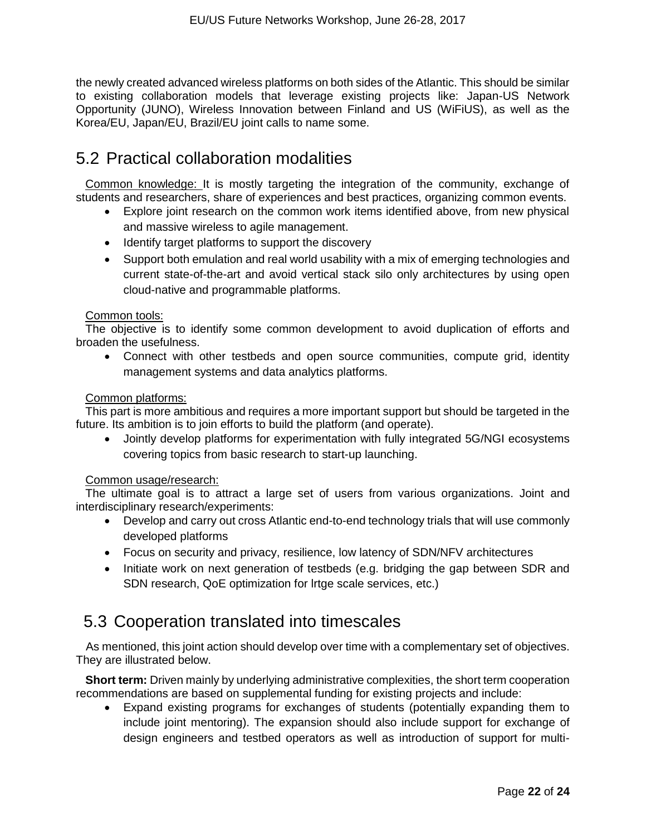the newly created advanced wireless platforms on both sides of the Atlantic. This should be similar to existing collaboration models that leverage existing projects like: Japan-US Network Opportunity (JUNO), Wireless Innovation between Finland and US (WiFiUS), as well as the Korea/EU, Japan/EU, Brazil/EU joint calls to name some.

### 5.2 Practical collaboration modalities

Common knowledge: It is mostly targeting the integration of the community, exchange of students and researchers, share of experiences and best practices, organizing common events.

- Explore joint research on the common work items identified above, from new physical and massive wireless to agile management.
- Identify target platforms to support the discovery
- Support both emulation and real world usability with a mix of emerging technologies and current state-of-the-art and avoid vertical stack silo only architectures by using open cloud-native and programmable platforms.

#### Common tools:

The objective is to identify some common development to avoid duplication of efforts and broaden the usefulness.

• Connect with other testbeds and open source communities, compute grid, identity management systems and data analytics platforms.

#### Common platforms:

This part is more ambitious and requires a more important support but should be targeted in the future. Its ambition is to join efforts to build the platform (and operate).

• Jointly develop platforms for experimentation with fully integrated 5G/NGI ecosystems covering topics from basic research to start-up launching.

#### Common usage/research:

The ultimate goal is to attract a large set of users from various organizations. Joint and interdisciplinary research/experiments:

- Develop and carry out cross Atlantic end-to-end technology trials that will use commonly developed platforms
- Focus on security and privacy, resilience, low latency of SDN/NFV architectures
- Initiate work on next generation of testbeds (e.g. bridging the gap between SDR and SDN research, QoE optimization for lrtge scale services, etc.)

### 5.3 Cooperation translated into timescales

As mentioned, this joint action should develop over time with a complementary set of objectives. They are illustrated below.

**Short term:** Driven mainly by underlying administrative complexities, the short term cooperation recommendations are based on supplemental funding for existing projects and include:

• Expand existing programs for exchanges of students (potentially expanding them to include joint mentoring). The expansion should also include support for exchange of design engineers and testbed operators as well as introduction of support for multi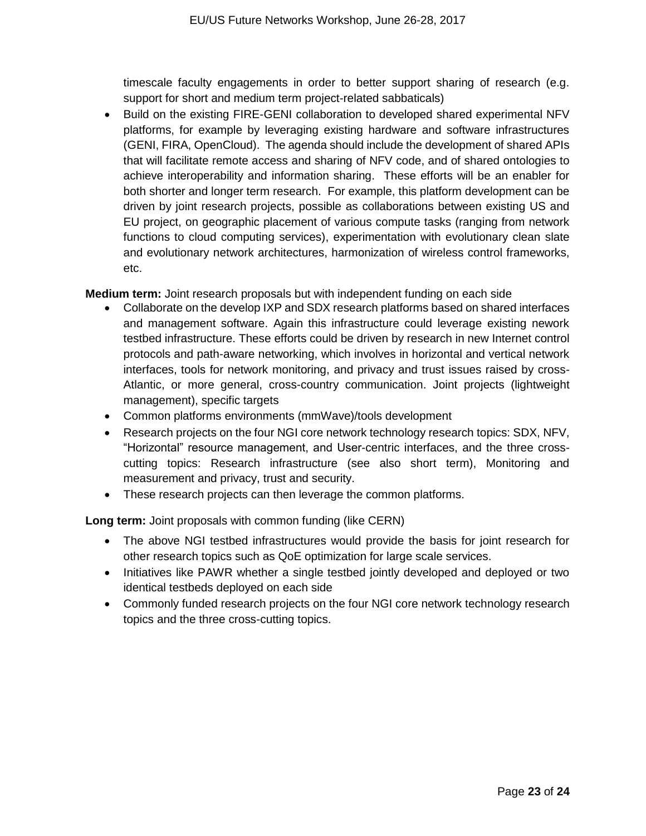timescale faculty engagements in order to better support sharing of research (e.g. support for short and medium term project-related sabbaticals)

• Build on the existing FIRE-GENI collaboration to developed shared experimental NFV platforms, for example by leveraging existing hardware and software infrastructures (GENI, FIRA, OpenCloud). The agenda should include the development of shared APIs that will facilitate remote access and sharing of NFV code, and of shared ontologies to achieve interoperability and information sharing. These efforts will be an enabler for both shorter and longer term research. For example, this platform development can be driven by joint research projects, possible as collaborations between existing US and EU project, on geographic placement of various compute tasks (ranging from network functions to cloud computing services), experimentation with evolutionary clean slate and evolutionary network architectures, harmonization of wireless control frameworks, etc.

**Medium term:** Joint research proposals but with independent funding on each side

- Collaborate on the develop IXP and SDX research platforms based on shared interfaces and management software. Again this infrastructure could leverage existing nework testbed infrastructure. These efforts could be driven by research in new Internet control protocols and path-aware networking, which involves in horizontal and vertical network interfaces, tools for network monitoring, and privacy and trust issues raised by cross-Atlantic, or more general, cross-country communication. Joint projects (lightweight management), specific targets
- Common platforms environments (mmWave)/tools development
- Research projects on the four NGI core network technology research topics: SDX, NFV, "Horizontal" resource management, and User-centric interfaces, and the three crosscutting topics: Research infrastructure (see also short term), Monitoring and measurement and privacy, trust and security.
- These research projects can then leverage the common platforms.

**Long term:** Joint proposals with common funding (like CERN)

- The above NGI testbed infrastructures would provide the basis for joint research for other research topics such as QoE optimization for large scale services.
- Initiatives like PAWR whether a single testbed jointly developed and deployed or two identical testbeds deployed on each side
- Commonly funded research projects on the four NGI core network technology research topics and the three cross-cutting topics.